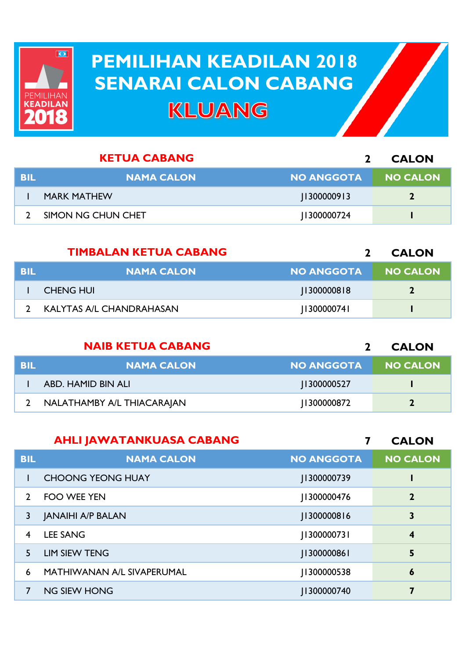

## **PEMILIHAN KEADILAN 2018 PEMILIHAN KEADILAN 2018 SENARAI CALON CABANG SENARAI CALON CABANGKLUANG**

|     | <b>KETUA CABANG</b> |                   | <b>CALON</b>    |
|-----|---------------------|-------------------|-----------------|
| BIL | <b>NAMA CALON</b>   | <b>NO ANGGOTA</b> | <b>NO CALON</b> |
|     | <b>MARK MATHEW</b>  | 1300000913        |                 |
|     | SIMON NG CHUN CHET  | 1300000724        |                 |

|            | <b>TIMBALAN KETUA CABANG</b> |                   | <b>CALON</b>    |
|------------|------------------------------|-------------------|-----------------|
| <b>BIL</b> | <b>NAMA CALON</b>            | <b>NO ANGGOTA</b> | <b>NO CALON</b> |
|            | CHENG HUI                    | 11300000818       | 2               |
|            | KALYTAS A/L CHANDRAHASAN     | [130000074]       |                 |

|            | <b>NAIB KETUA CABANG</b>   |                   | <b>CALON</b>    |
|------------|----------------------------|-------------------|-----------------|
| <b>BIL</b> | <b>NAMA CALON</b>          | <b>NO ANGGOTA</b> | <b>NO CALON</b> |
|            | ABD. HAMID BIN ALI         | 1300000527        |                 |
|            | NALATHAMBY A/L THIACARAJAN | 1300000872        | $\mathbf{D}$    |

|                | <b>AHLI JAWATANKUASA CABANG</b> |                   | <b>CALON</b>     |
|----------------|---------------------------------|-------------------|------------------|
| <b>BIL</b>     | <b>NAMA CALON</b>               | <b>NO ANGGOTA</b> | <b>NO CALON</b>  |
|                | <b>CHOONG YEONG HUAY</b>        | J1300000739       |                  |
| $\mathcal{P}$  | <b>FOO WEE YEN</b>              | 1300000476        | $\overline{2}$   |
| 3              | <b>JANAIHI A/P BALAN</b>        | [1300000816]      | 3                |
| $\overline{4}$ | <b>LEE SANG</b>                 | 1300000731        | $\boldsymbol{4}$ |
| 5.             | <b>LIM SIEW TENG</b>            | [1300000861]      | 5                |
| 6              | MATHIWANAN A/L SIVAPERUMAL      | 1300000538        | $\boldsymbol{6}$ |
| 7              | <b>NG SIEW HONG</b>             | 1300000740        | 7                |